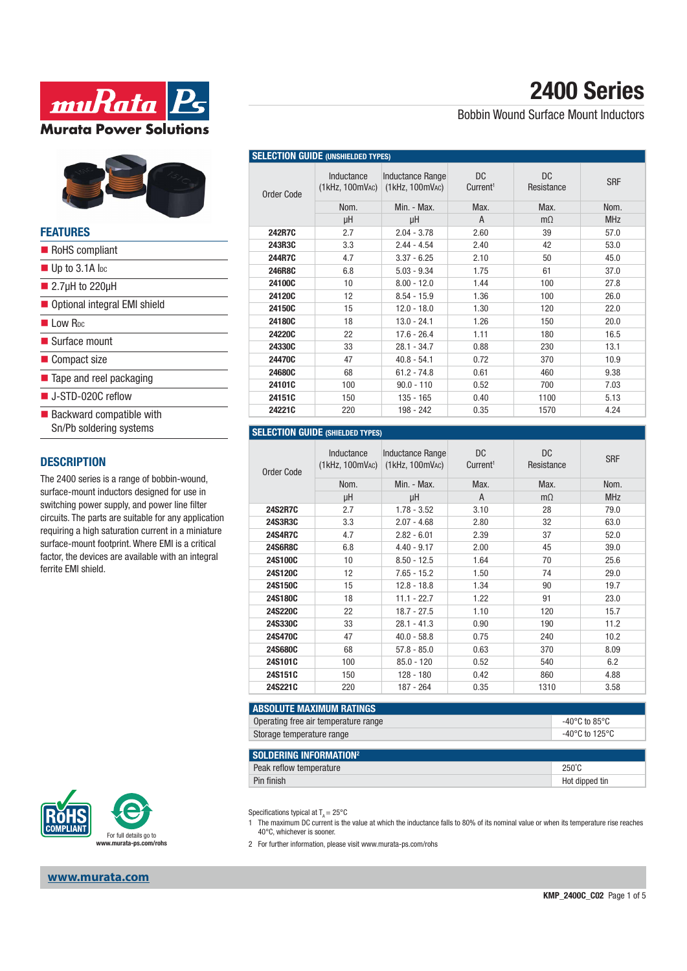



#### **FEATURES**

| Sn/Pb soldering systems |                                         |
|-------------------------|-----------------------------------------|
|                         | RoHS compliant                          |
|                         | $\blacksquare$ Up to 3.1A loc           |
|                         | $\blacksquare$ 2.7µH to 220µH           |
|                         | Optional integral EMI shield            |
|                         | $\blacksquare$ I ow R <sub>pc</sub>     |
|                         | $\blacksquare$ Surface mount            |
|                         | Compact size                            |
|                         | $\blacksquare$ Tape and reel packaging  |
|                         | ■ J-STD-020C reflow                     |
|                         | $\blacksquare$ Backward compatible with |

#### **DESCRIPTION**

The 2400 series is a range of bobbin-wound, surface-mount inductors designed for use in switching power supply, and power line filter circuits. The parts are suitable for any application requiring a high saturation current in a miniature surface-mount footprint. Where EMI is a critical factor, the devices are available with an integral ferrite EMI shield.



### **www.murata.com**

# **2400 Series**

Bobbin Wound Surface Mount Inductors

| <b>SELECTION GUIDE (UNSHIELDED TYPES)</b> |                               |                                            |                            |                   |            |
|-------------------------------------------|-------------------------------|--------------------------------------------|----------------------------|-------------------|------------|
| <b>Order Code</b>                         | Inductance<br>(1kHz, 100mVAC) | <b>Inductance Range</b><br>(1kHz, 100mVAC) | DC<br>Current <sup>1</sup> | DC.<br>Resistance | <b>SRF</b> |
|                                           | Nom.                          | Min. - Max.                                | Max.                       | Max.              | Nom.       |
|                                           | μH                            | μH                                         | A                          | $m\Omega$         | <b>MHz</b> |
| 242R7C                                    | 2.7                           | $2.04 - 3.78$                              | 2.60                       | 39                | 57.0       |
| 243R3C                                    | 3.3                           | $2.44 - 4.54$                              | 2.40                       | 42                | 53.0       |
| <b>244R7C</b>                             | 4.7                           | $3.37 - 6.25$                              | 2.10                       | 50                | 45.0       |
| 246R8C                                    | 6.8                           | $5.03 - 9.34$                              | 1.75                       | 61                | 37.0       |
| 24100C                                    | 10                            | $8.00 - 12.0$                              | 1.44                       | 100               | 27.8       |
| 24120C                                    | 12                            | $8.54 - 15.9$                              | 1.36                       | 100               | 26.0       |
| 24150C                                    | 15                            | $12.0 - 18.0$                              | 1.30                       | 120               | 22.0       |
| 24180C                                    | 18                            | $13.0 - 24.1$                              | 1.26                       | 150               | 20.0       |
| 24220C                                    | 22                            | $17.6 - 26.4$                              | 1.11                       | 180               | 16.5       |
| 24330C                                    | 33                            | $28.1 - 34.7$                              | 0.88                       | 230               | 13.1       |
| 24470C                                    | 47                            | $40.8 - 54.1$                              | 0.72                       | 370               | 10.9       |
| 24680C                                    | 68                            | $61.2 - 74.8$                              | 0.61                       | 460               | 9.38       |
| 24101C                                    | 100                           | $90.0 - 110$                               | 0.52                       | 700               | 7.03       |
| 24151C                                    | 150                           | $135 - 165$                                | 0.40                       | 1100              | 5.13       |
| 24221C                                    | 220                           | 198 - 242                                  | 0.35                       | 1570              | 4.24       |

### **SELECTION GUIDE (SHIELDED TYPES)**

| Order Code     | Inductance<br>$(1$ kHz, $100$ mV $AC$ ) | Inductance Range<br>$(1$ kHz, $100$ mV $AC$ ) | DC.<br>Current <sup>1</sup> | DC.<br>Resistance | <b>SRF</b> |
|----------------|-----------------------------------------|-----------------------------------------------|-----------------------------|-------------------|------------|
|                | Nom.                                    | Min. - Max.                                   | Max.                        | Max.              | Nom.       |
|                | μH                                      | μH                                            | A                           | $m\Omega$         | <b>MHz</b> |
| <b>24S2R7C</b> | 2.7                                     | $1.78 - 3.52$                                 | 3.10                        | 28                | 79.0       |
| 24S3R3C        | 3.3                                     | $2.07 - 4.68$                                 | 2.80                        | 32                | 63.0       |
| <b>24S4R7C</b> | 4.7                                     | $2.82 - 6.01$                                 | 2.39                        | 37                | 52.0       |
| <b>24S6R8C</b> | 6.8                                     | $4.40 - 9.17$                                 | 2.00                        | 45                | 39.0       |
| 24S100C        | 10                                      | $8.50 - 12.5$                                 | 1.64                        | 70                | 25.6       |
| 24S120C        | 12                                      | $7.65 - 15.2$                                 | 1.50                        | 74                | 29.0       |
| 24S150C        | 15                                      | $12.8 - 18.8$                                 | 1.34                        | 90                | 19.7       |
| 24S180C        | 18                                      | $11.1 - 22.7$                                 | 1.22                        | 91                | 23.0       |
| 24S220C        | 22                                      | $18.7 - 27.5$                                 | 1.10                        | 120               | 15.7       |
| 24S330C        | 33                                      | $28.1 - 41.3$                                 | 0.90                        | 190               | 11.2       |
| 24S470C        | 47                                      | $40.0 - 58.8$                                 | 0.75                        | 240               | 10.2       |
| 24S680C        | 68                                      | $57.8 - 85.0$                                 | 0.63                        | 370               | 8.09       |
| 24S101C        | 100                                     | $85.0 - 120$                                  | 0.52                        | 540               | 6.2        |
| 24S151C        | 150                                     | $128 - 180$                                   | 0.42                        | 860               | 4.88       |
| 24S221C        | 220                                     | 187 - 264                                     | 0.35                        | 1310              | 3.58       |

| -40°C to 85°C  |
|----------------|
| -40°C to 125°C |
|                |

| SOLDERING INFORMATION <sup>2</sup> |                 |
|------------------------------------|-----------------|
| Peak reflow temperature            | $250^{\circ}$ C |
| Pin finish                         | Hot dipped tin  |

Specifications typical at  $T_A = 25^{\circ}$ C

1 The maximum DC current is the value at which the inductance falls to 80% of its nominal value or when its temperature rise reaches 40°C, whichever is sooner.

2 For further information, please visit www.murata-ps.com/rohs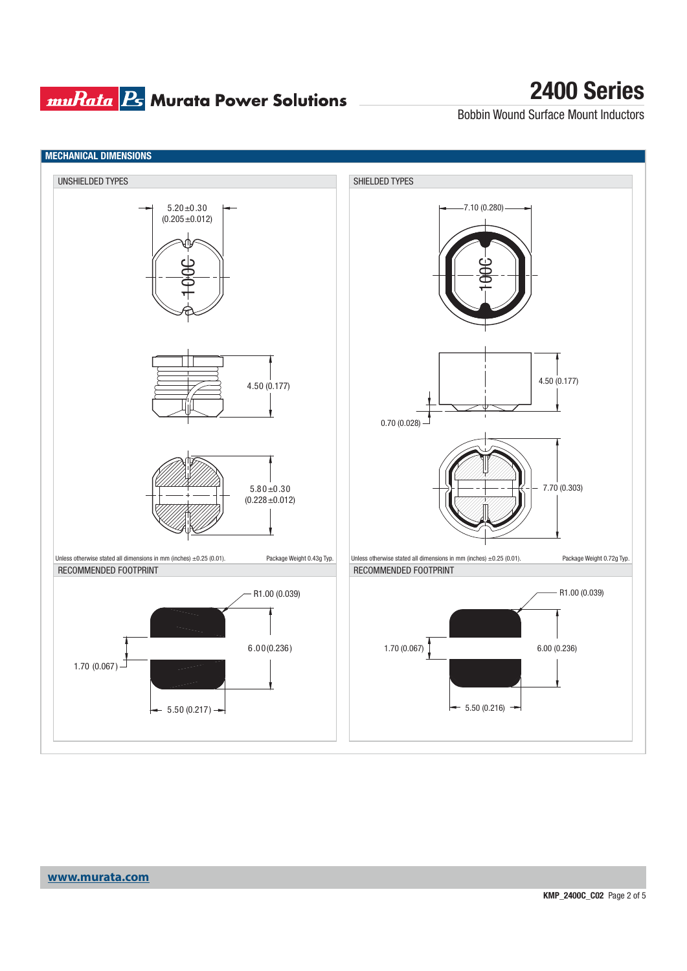## **muRata B** Murata Power Solutions

## **2400 Series**

Bobbin Wound Surface Mount Inductors

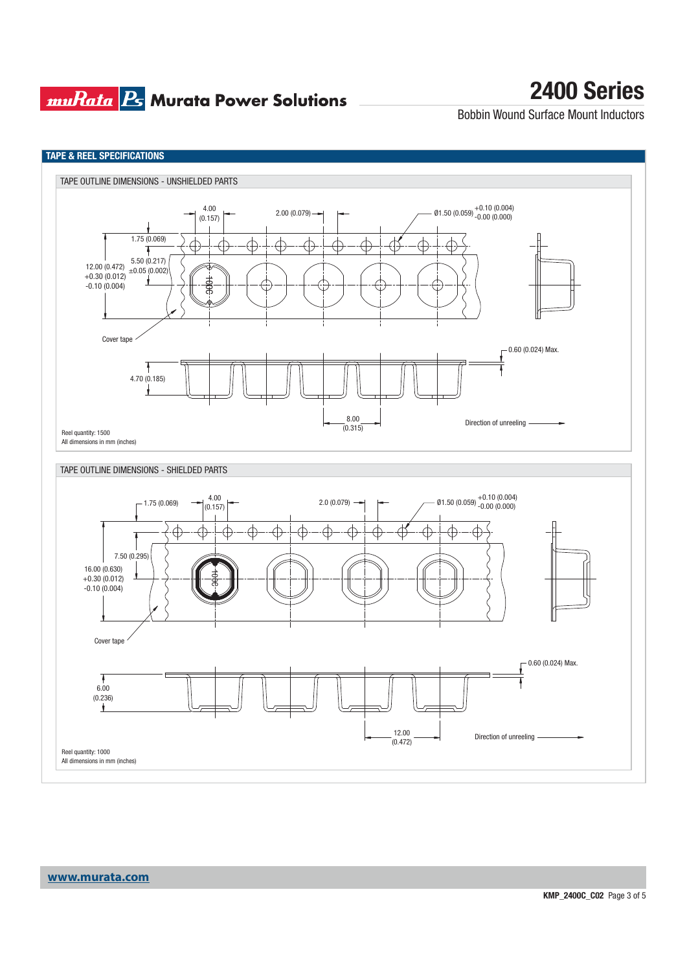## **muRata Ps** Murata Power Solutions

## **2400 Series**

Bobbin Wound Surface Mount Inductors

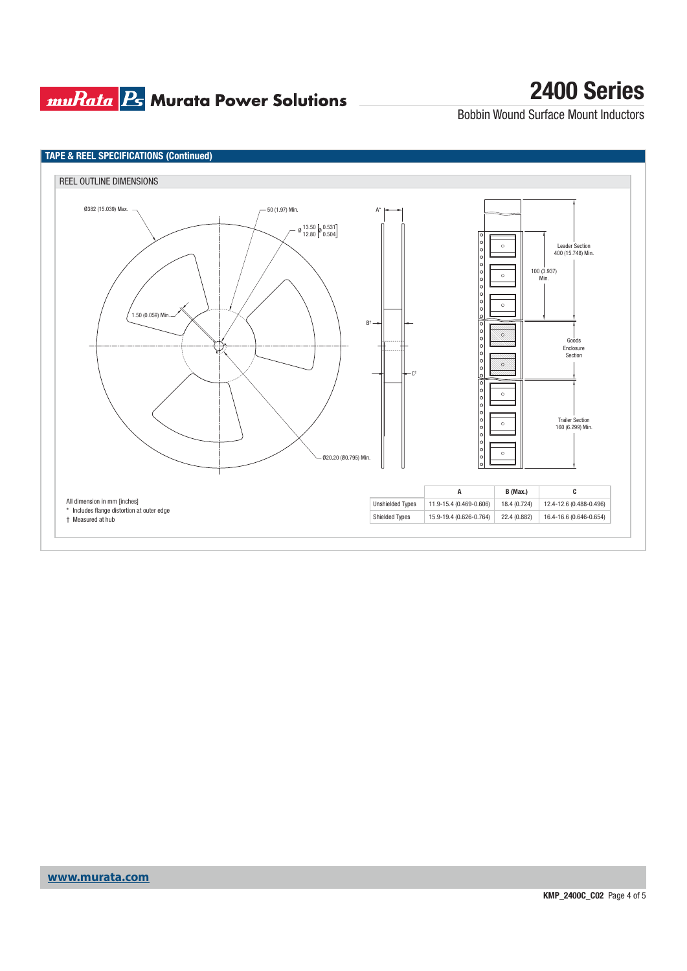## **muRata Ps** Murata Power Solutions

# **2400 Series**

Bobbin Wound Surface Mount Inductors